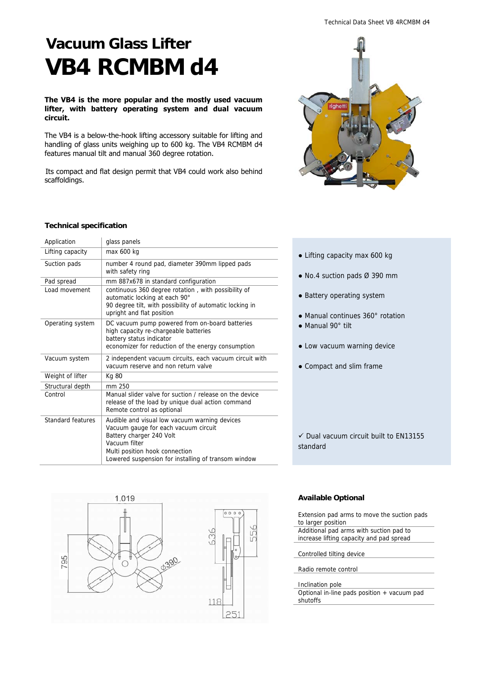# **Vacuum Glass Lifter VB4 RCMBM d4**

## **The VB4 is the more popular and the mostly used vacuum lifter, with battery operating system and dual vacuum circuit.**

The VB4 is a below-the-hook lifting accessory suitable for lifting and handling of glass units weighing up to 600 kg. The VB4 RCMBM d4 features manual tilt and manual 360 degree rotation.

Its compact and flat design permit that VB4 could work also behind scaffoldings.



## **Technical specification**

| Application       | glass panels                                                                                                                                                                                                                |
|-------------------|-----------------------------------------------------------------------------------------------------------------------------------------------------------------------------------------------------------------------------|
| Lifting capacity  | max 600 kg                                                                                                                                                                                                                  |
| Suction pads      | number 4 round pad, diameter 390mm lipped pads<br>with safety ring                                                                                                                                                          |
| Pad spread        | mm 887x678 in standard configuration                                                                                                                                                                                        |
| Load movement     | continuous 360 degree rotation, with possibility of<br>automatic locking at each 90°<br>90 degree tilt, with possibility of automatic locking in<br>upright and flat position                                               |
| Operating system  | DC vacuum pump powered from on-board batteries<br>high capacity re-chargeable batteries<br>battery status indicator<br>economizer for reduction of the energy consumption                                                   |
| Vacuum system     | 2 independent vacuum circuits, each vacuum circuit with<br>vacuum reserve and non return valve                                                                                                                              |
| Weight of lifter  | Kg 80                                                                                                                                                                                                                       |
| Structural depth  | mm 250                                                                                                                                                                                                                      |
| Control           | Manual slider valve for suction / release on the device<br>release of the load by unique dual action command<br>Remote control as optional                                                                                  |
| Standard features | Audible and visual low vacuum warning devices<br>Vacuum gauge for each vacuum circuit<br>Battery charger 240 Volt<br>Vacuum filter<br>Multi position hook connection<br>Lowered suspension for installing of transom window |



- Lifting capacity max 600 kg
- No.4 suction pads Ø 390 mm
- Battery operating system
- Manual continues 360° rotation
- Manual 90° tilt
- Low vacuum warning device
- Compact and slim frame

 $\checkmark$  Dual vacuum circuit built to EN13155 standard

## **Available Optional**

Extension pad arms to move the suction pads to larger position

Additional pad arms with suction pad to

increase lifting capacity and pad spread

Controlled tilting device

Radio remote control

#### Inclination pole

Optional in-line pads position + vacuum pad shutoffs